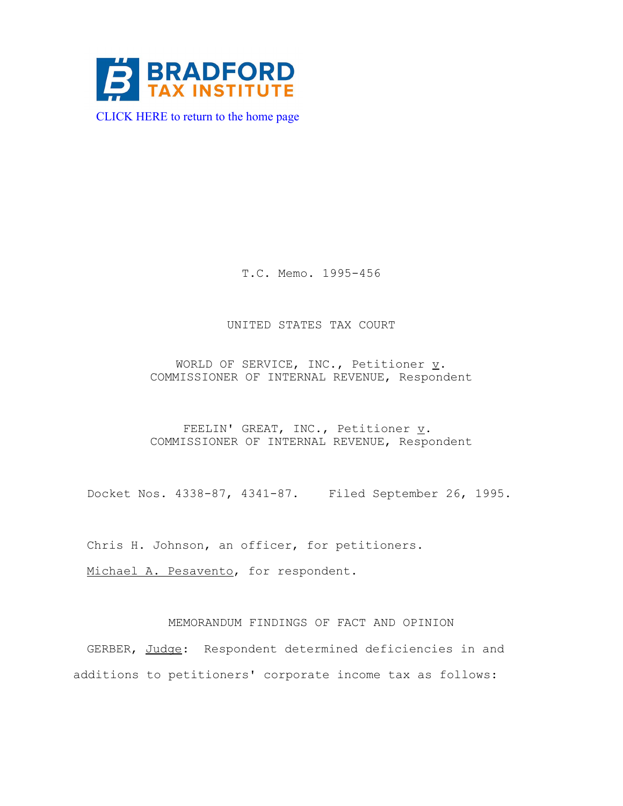

[CLICK HERE to return to the home page](http://www.bradfordtaxinstitute.com/) 

T.C. Memo. 1995-456

## UNITED STATES TAX COURT

WORLD OF SERVICE, INC., Petitioner  $\underline{v}$ . COMMISSIONER OF INTERNAL REVENUE, Respondent

FEELIN' GREAT, INC., Petitioner  $\underline{v}$ . COMMISSIONER OF INTERNAL REVENUE, Respondent

Docket Nos. 4338-87, 4341-87. Filed September 26, 1995.

Chris H. Johnson, an officer, for petitioners.

Michael A. Pesavento, for respondent.

# MEMORANDUM FINDINGS OF FACT AND OPINION

GERBER, Judge: Respondent determined deficiencies in and additions to petitioners' corporate income tax as follows: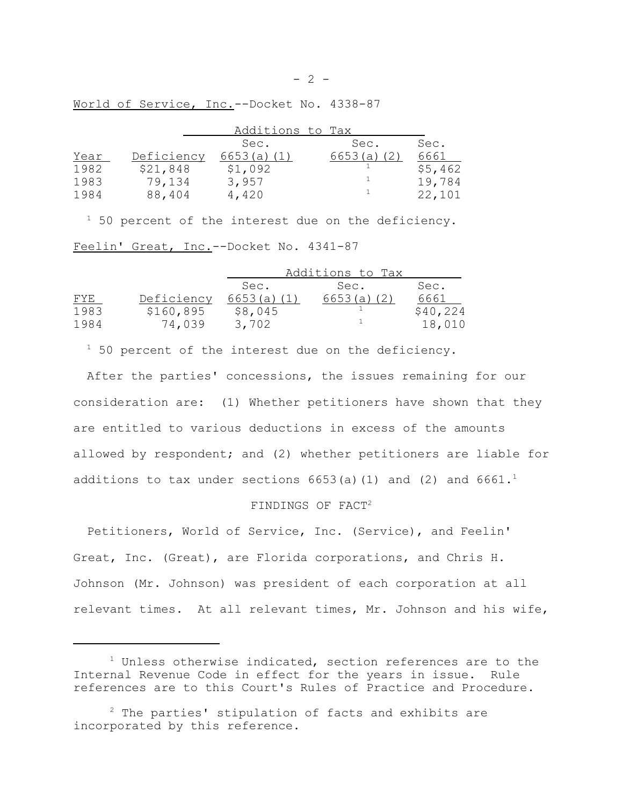World of Service, Inc.--Docket No. 4338-87

|            | Sec.       | Sec.    | Sec.             |
|------------|------------|---------|------------------|
| Deficiency | 6653(a)(1) | 6653(a) | 6661             |
| \$21,848   | \$1,092    |         | \$5,462          |
| 79,134     | 3,957      |         | 19,784           |
| 88,404     | 4,420      |         | 22,101           |
|            |            |         | Additions to Tax |

 $1$  50 percent of the interest due on the deficiency. Feelin' Great, Inc.--Docket No. 4341-87

|            |            | Additions to Tax |            |          |
|------------|------------|------------------|------------|----------|
|            |            | Sec.             | Sec.       | Sec.     |
| <u>FYE</u> | Deficiency | 6653(a)(1)       | 6653(a)(2) | 6661     |
| 1983       | \$160,895  | \$8,045          |            | \$40,224 |
| 1984       | 74,039     | 3,702            |            | 18,010   |

 $1$  50 percent of the interest due on the deficiency.

After the parties' concessions, the issues remaining for our consideration are: (1) Whether petitioners have shown that they are entitled to various deductions in excess of the amounts allowed by respondent; and (2) whether petitioners are liable for additions to tax under sections  $6653(a)(1)$  and  $(2)$  and  $6661.^1$ 

#### FINDINGS OF FACT2

Petitioners, World of Service, Inc. (Service), and Feelin' Great, Inc. (Great), are Florida corporations, and Chris H. Johnson (Mr. Johnson) was president of each corporation at all relevant times. At all relevant times, Mr. Johnson and his wife,

 $1$  Unless otherwise indicated, section references are to the Internal Revenue Code in effect for the years in issue. Rule references are to this Court's Rules of Practice and Procedure.

 $2$  The parties' stipulation of facts and exhibits are incorporated by this reference.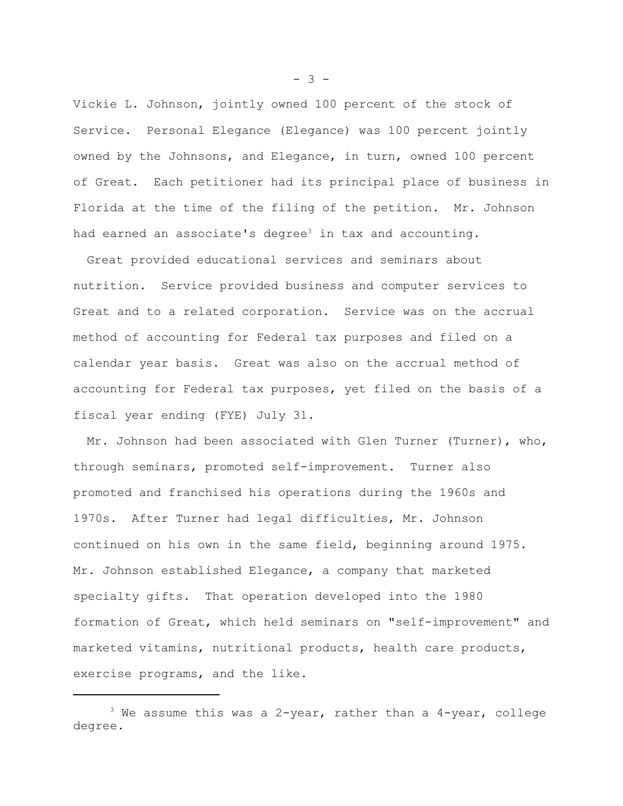Vickie L. Johnson, jointly owned 100 percent of the stock of Service. Personal Elegance (Elegance) was 100 percent jointly owned by the Johnsons, and Elegance, in turn, owned 100 percent of Great. Each petitioner had its principal place of business in Florida at the time of the filing of the petition. Mr. Johnson had earned an associate's degree<sup>3</sup> in tax and accounting.

Great provided educational services and seminars about nutrition. Service provided business and computer services to Great and to a related corporation. Service was on the accrual method of accounting for Federal tax purposes and filed on a calendar year basis. Great was also on the accrual method of accounting for Federal tax purposes, yet filed on the basis of a fiscal year ending (FYE) July 31.

Mr. Johnson had been associated with Glen Turner (Turner), who, through seminars, promoted self-improvement. Turner also promoted and franchised his operations during the 1960s and 1970s. After Turner had legal difficulties, Mr. Johnson continued on his own in the same field, beginning around 1975. Mr. Johnson established Elegance, a company that marketed specialty gifts. That operation developed into the 1980 formation of Great, which held seminars on "self-improvement" and marketed vitamins, nutritional products, health care products, exercise programs, and the like.

 $- 3 -$ 

 $3$  We assume this was a 2-year, rather than a 4-year, college degree.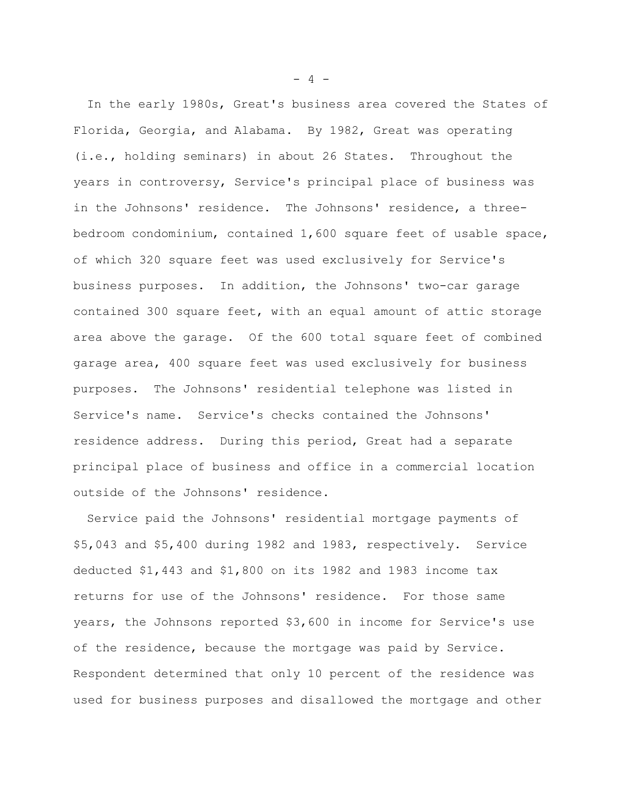In the early 1980s, Great's business area covered the States of Florida, Georgia, and Alabama. By 1982, Great was operating (i.e., holding seminars) in about 26 States. Throughout the years in controversy, Service's principal place of business was in the Johnsons' residence. The Johnsons' residence, a threebedroom condominium, contained 1,600 square feet of usable space, of which 320 square feet was used exclusively for Service's business purposes. In addition, the Johnsons' two-car garage contained 300 square feet, with an equal amount of attic storage area above the garage. Of the 600 total square feet of combined garage area, 400 square feet was used exclusively for business purposes. The Johnsons' residential telephone was listed in Service's name. Service's checks contained the Johnsons' residence address. During this period, Great had a separate principal place of business and office in a commercial location outside of the Johnsons' residence.

Service paid the Johnsons' residential mortgage payments of \$5,043 and \$5,400 during 1982 and 1983, respectively. Service deducted \$1,443 and \$1,800 on its 1982 and 1983 income tax returns for use of the Johnsons' residence. For those same years, the Johnsons reported \$3,600 in income for Service's use of the residence, because the mortgage was paid by Service. Respondent determined that only 10 percent of the residence was used for business purposes and disallowed the mortgage and other

 $- 4 -$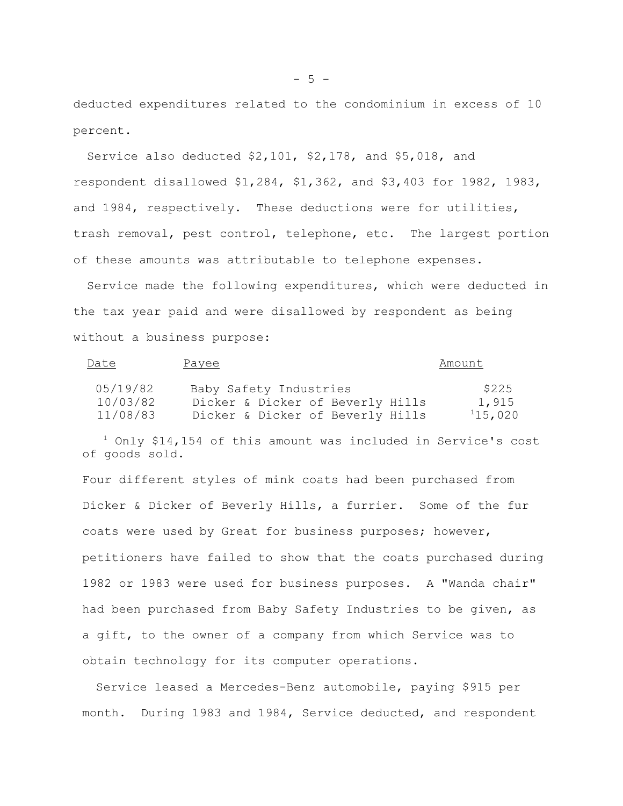deducted expenditures related to the condominium in excess of 10 percent.

Service also deducted \$2,101, \$2,178, and \$5,018, and respondent disallowed \$1,284, \$1,362, and \$3,403 for 1982, 1983, and 1984, respectively. These deductions were for utilities, trash removal, pest control, telephone, etc. The largest portion of these amounts was attributable to telephone expenses.

Service made the following expenditures, which were deducted in the tax year paid and were disallowed by respondent as being without a business purpose:

| Date     | Payee                            | Amount  |
|----------|----------------------------------|---------|
| 05/19/82 | Baby Safety Industries           | \$225   |
| 10/03/82 | Dicker & Dicker of Beverly Hills | 1,915   |
| 11/08/83 | Dicker & Dicker of Beverly Hills | 115,020 |

 $1$  Only \$14,154 of this amount was included in Service's cost of goods sold.

Four different styles of mink coats had been purchased from Dicker & Dicker of Beverly Hills, a furrier. Some of the fur coats were used by Great for business purposes; however, petitioners have failed to show that the coats purchased during 1982 or 1983 were used for business purposes. A "Wanda chair" had been purchased from Baby Safety Industries to be given, as a gift, to the owner of a company from which Service was to obtain technology for its computer operations.

Service leased a Mercedes-Benz automobile, paying \$915 per month. During 1983 and 1984, Service deducted, and respondent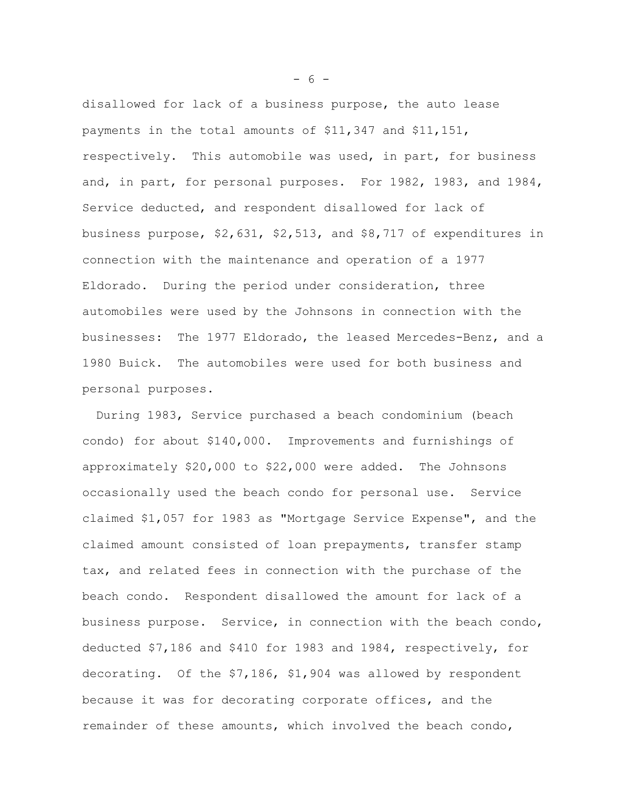disallowed for lack of a business purpose, the auto lease payments in the total amounts of \$11,347 and \$11,151, respectively. This automobile was used, in part, for business and, in part, for personal purposes. For 1982, 1983, and 1984, Service deducted, and respondent disallowed for lack of business purpose, \$2,631, \$2,513, and \$8,717 of expenditures in connection with the maintenance and operation of a 1977 Eldorado. During the period under consideration, three automobiles were used by the Johnsons in connection with the businesses: The 1977 Eldorado, the leased Mercedes-Benz, and a 1980 Buick. The automobiles were used for both business and personal purposes.

During 1983, Service purchased a beach condominium (beach condo) for about \$140,000. Improvements and furnishings of approximately \$20,000 to \$22,000 were added. The Johnsons occasionally used the beach condo for personal use. Service claimed \$1,057 for 1983 as "Mortgage Service Expense", and the claimed amount consisted of loan prepayments, transfer stamp tax, and related fees in connection with the purchase of the beach condo. Respondent disallowed the amount for lack of a business purpose. Service, in connection with the beach condo, deducted \$7,186 and \$410 for 1983 and 1984, respectively, for decorating. Of the \$7,186, \$1,904 was allowed by respondent because it was for decorating corporate offices, and the remainder of these amounts, which involved the beach condo,

 $- 6 -$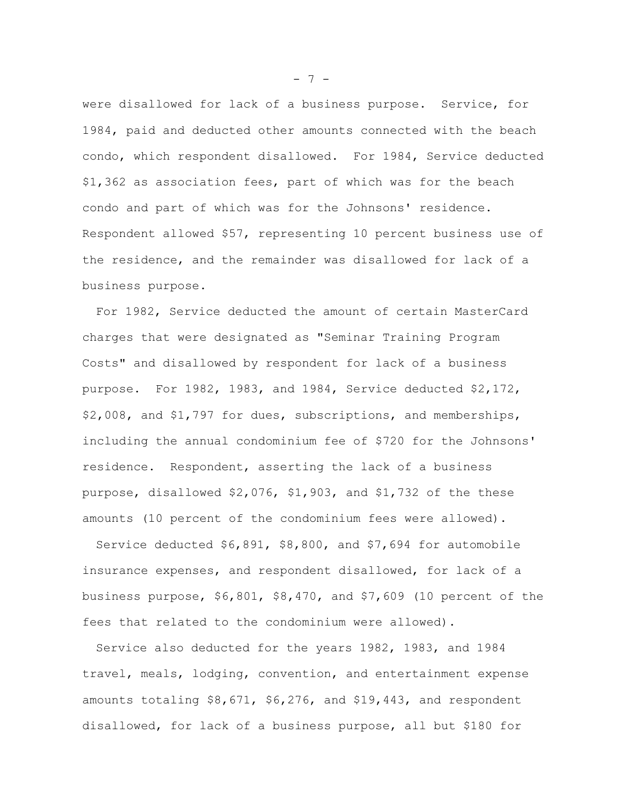were disallowed for lack of a business purpose. Service, for 1984, paid and deducted other amounts connected with the beach condo, which respondent disallowed. For 1984, Service deducted \$1,362 as association fees, part of which was for the beach condo and part of which was for the Johnsons' residence. Respondent allowed \$57, representing 10 percent business use of the residence, and the remainder was disallowed for lack of a business purpose.

For 1982, Service deducted the amount of certain MasterCard charges that were designated as "Seminar Training Program Costs" and disallowed by respondent for lack of a business purpose. For 1982, 1983, and 1984, Service deducted \$2,172, \$2,008, and \$1,797 for dues, subscriptions, and memberships, including the annual condominium fee of \$720 for the Johnsons' residence. Respondent, asserting the lack of a business purpose, disallowed \$2,076, \$1,903, and \$1,732 of the these amounts (10 percent of the condominium fees were allowed).

Service deducted \$6,891, \$8,800, and \$7,694 for automobile insurance expenses, and respondent disallowed, for lack of a business purpose, \$6,801, \$8,470, and \$7,609 (10 percent of the fees that related to the condominium were allowed).

Service also deducted for the years 1982, 1983, and 1984 travel, meals, lodging, convention, and entertainment expense amounts totaling \$8,671, \$6,276, and \$19,443, and respondent disallowed, for lack of a business purpose, all but \$180 for

 $- 7 -$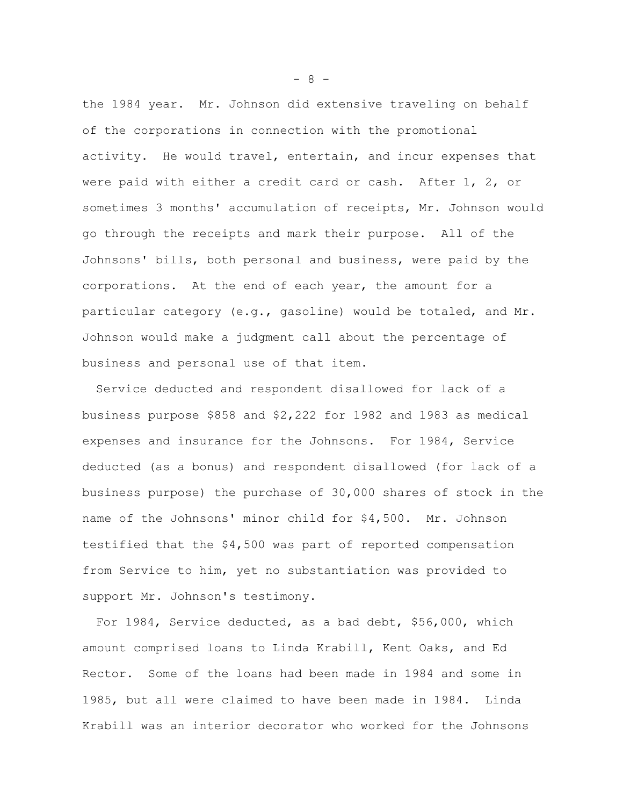the 1984 year. Mr. Johnson did extensive traveling on behalf of the corporations in connection with the promotional activity. He would travel, entertain, and incur expenses that were paid with either a credit card or cash. After 1, 2, or sometimes 3 months' accumulation of receipts, Mr. Johnson would go through the receipts and mark their purpose. All of the Johnsons' bills, both personal and business, were paid by the corporations. At the end of each year, the amount for a particular category (e.g., gasoline) would be totaled, and Mr. Johnson would make a judgment call about the percentage of business and personal use of that item.

Service deducted and respondent disallowed for lack of a business purpose \$858 and \$2,222 for 1982 and 1983 as medical expenses and insurance for the Johnsons. For 1984, Service deducted (as a bonus) and respondent disallowed (for lack of a business purpose) the purchase of 30,000 shares of stock in the name of the Johnsons' minor child for \$4,500. Mr. Johnson testified that the \$4,500 was part of reported compensation from Service to him, yet no substantiation was provided to support Mr. Johnson's testimony.

For 1984, Service deducted, as a bad debt, \$56,000, which amount comprised loans to Linda Krabill, Kent Oaks, and Ed Rector. Some of the loans had been made in 1984 and some in 1985, but all were claimed to have been made in 1984. Linda Krabill was an interior decorator who worked for the Johnsons

 $- 8 -$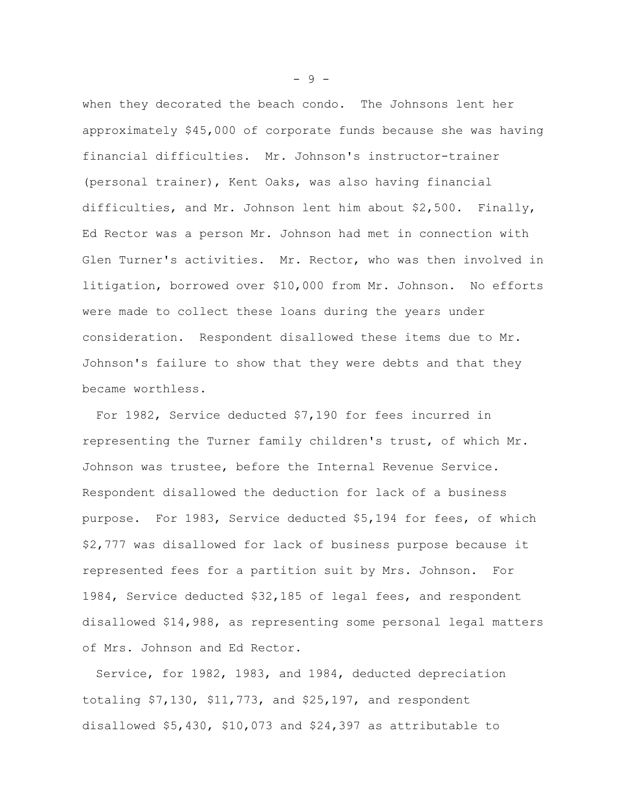when they decorated the beach condo. The Johnsons lent her approximately \$45,000 of corporate funds because she was having financial difficulties. Mr. Johnson's instructor-trainer (personal trainer), Kent Oaks, was also having financial difficulties, and Mr. Johnson lent him about \$2,500. Finally, Ed Rector was a person Mr. Johnson had met in connection with Glen Turner's activities. Mr. Rector, who was then involved in litigation, borrowed over \$10,000 from Mr. Johnson. No efforts were made to collect these loans during the years under consideration. Respondent disallowed these items due to Mr. Johnson's failure to show that they were debts and that they became worthless.

For 1982, Service deducted \$7,190 for fees incurred in representing the Turner family children's trust, of which Mr. Johnson was trustee, before the Internal Revenue Service. Respondent disallowed the deduction for lack of a business purpose. For 1983, Service deducted \$5,194 for fees, of which \$2,777 was disallowed for lack of business purpose because it represented fees for a partition suit by Mrs. Johnson. For 1984, Service deducted \$32,185 of legal fees, and respondent disallowed \$14,988, as representing some personal legal matters of Mrs. Johnson and Ed Rector.

Service, for 1982, 1983, and 1984, deducted depreciation totaling \$7,130, \$11,773, and \$25,197, and respondent disallowed \$5,430, \$10,073 and \$24,397 as attributable to

- 9 -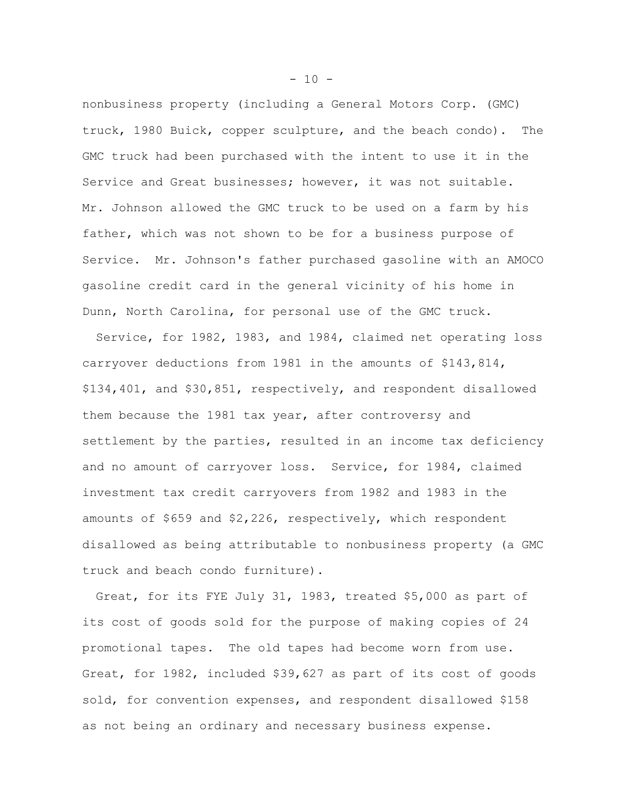nonbusiness property (including a General Motors Corp. (GMC) truck, 1980 Buick, copper sculpture, and the beach condo). The GMC truck had been purchased with the intent to use it in the Service and Great businesses; however, it was not suitable. Mr. Johnson allowed the GMC truck to be used on a farm by his father, which was not shown to be for a business purpose of Service. Mr. Johnson's father purchased gasoline with an AMOCO gasoline credit card in the general vicinity of his home in Dunn, North Carolina, for personal use of the GMC truck.

Service, for 1982, 1983, and 1984, claimed net operating loss carryover deductions from 1981 in the amounts of \$143,814, \$134,401, and \$30,851, respectively, and respondent disallowed them because the 1981 tax year, after controversy and settlement by the parties, resulted in an income tax deficiency and no amount of carryover loss. Service, for 1984, claimed investment tax credit carryovers from 1982 and 1983 in the amounts of \$659 and \$2,226, respectively, which respondent disallowed as being attributable to nonbusiness property (a GMC truck and beach condo furniture).

Great, for its FYE July 31, 1983, treated \$5,000 as part of its cost of goods sold for the purpose of making copies of 24 promotional tapes. The old tapes had become worn from use. Great, for 1982, included \$39,627 as part of its cost of goods sold, for convention expenses, and respondent disallowed \$158 as not being an ordinary and necessary business expense.

 $- 10 -$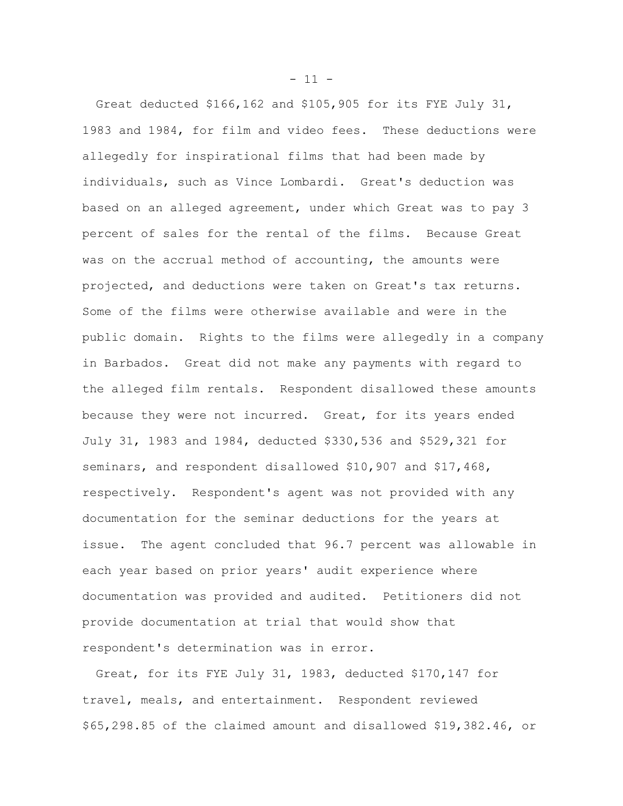Great deducted \$166,162 and \$105,905 for its FYE July 31, 1983 and 1984, for film and video fees. These deductions were allegedly for inspirational films that had been made by individuals, such as Vince Lombardi. Great's deduction was based on an alleged agreement, under which Great was to pay 3 percent of sales for the rental of the films. Because Great was on the accrual method of accounting, the amounts were projected, and deductions were taken on Great's tax returns. Some of the films were otherwise available and were in the public domain. Rights to the films were allegedly in a company in Barbados. Great did not make any payments with regard to the alleged film rentals. Respondent disallowed these amounts because they were not incurred. Great, for its years ended July 31, 1983 and 1984, deducted \$330,536 and \$529,321 for seminars, and respondent disallowed \$10,907 and \$17,468, respectively. Respondent's agent was not provided with any documentation for the seminar deductions for the years at issue. The agent concluded that 96.7 percent was allowable in each year based on prior years' audit experience where documentation was provided and audited. Petitioners did not provide documentation at trial that would show that respondent's determination was in error.

Great, for its FYE July 31, 1983, deducted \$170,147 for travel, meals, and entertainment. Respondent reviewed \$65,298.85 of the claimed amount and disallowed \$19,382.46, or

 $- 11 -$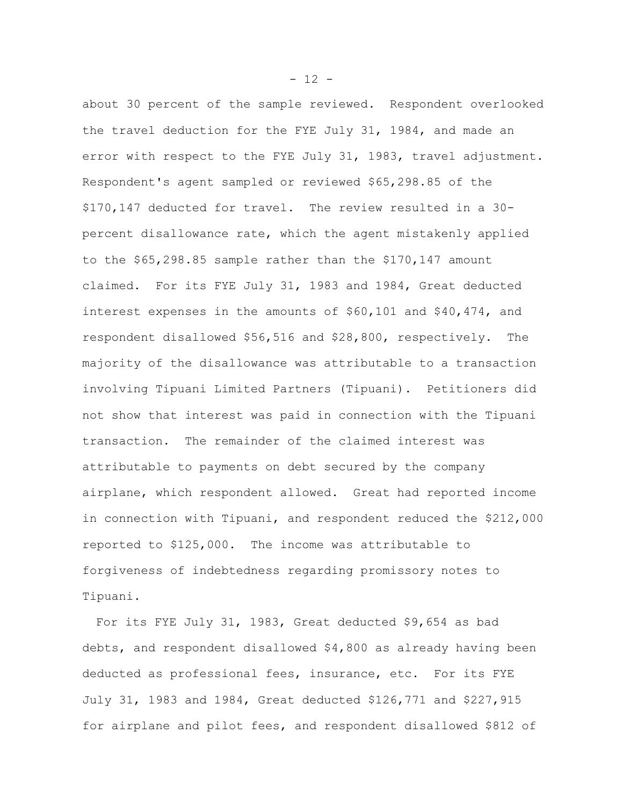about 30 percent of the sample reviewed. Respondent overlooked the travel deduction for the FYE July 31, 1984, and made an error with respect to the FYE July 31, 1983, travel adjustment. Respondent's agent sampled or reviewed \$65,298.85 of the \$170,147 deducted for travel. The review resulted in a 30 percent disallowance rate, which the agent mistakenly applied to the \$65,298.85 sample rather than the \$170,147 amount claimed. For its FYE July 31, 1983 and 1984, Great deducted interest expenses in the amounts of \$60,101 and \$40,474, and respondent disallowed \$56,516 and \$28,800, respectively. The majority of the disallowance was attributable to a transaction involving Tipuani Limited Partners (Tipuani). Petitioners did not show that interest was paid in connection with the Tipuani transaction. The remainder of the claimed interest was attributable to payments on debt secured by the company airplane, which respondent allowed. Great had reported income in connection with Tipuani, and respondent reduced the \$212,000 reported to \$125,000. The income was attributable to forgiveness of indebtedness regarding promissory notes to Tipuani.

For its FYE July 31, 1983, Great deducted \$9,654 as bad debts, and respondent disallowed \$4,800 as already having been deducted as professional fees, insurance, etc. For its FYE July 31, 1983 and 1984, Great deducted \$126,771 and \$227,915 for airplane and pilot fees, and respondent disallowed \$812 of

 $- 12 -$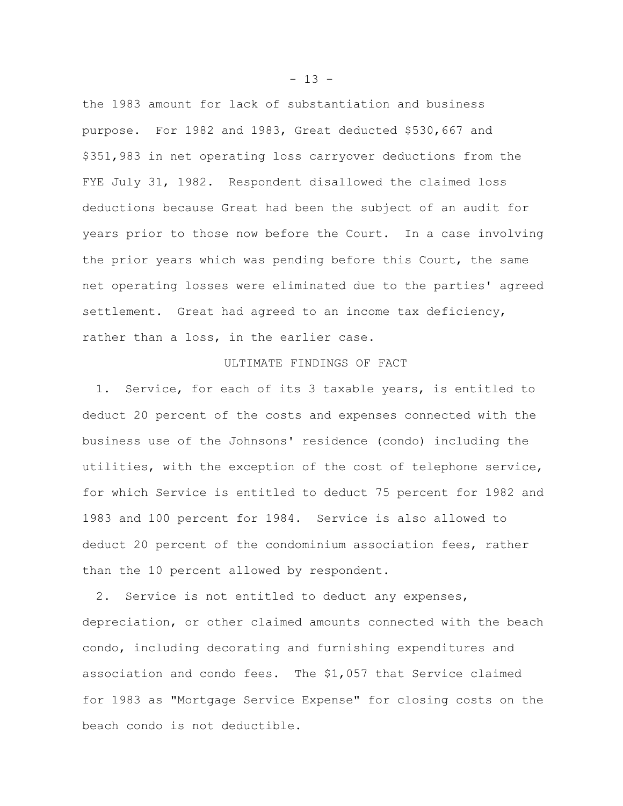the 1983 amount for lack of substantiation and business purpose. For 1982 and 1983, Great deducted \$530,667 and \$351,983 in net operating loss carryover deductions from the FYE July 31, 1982. Respondent disallowed the claimed loss deductions because Great had been the subject of an audit for years prior to those now before the Court. In a case involving the prior years which was pending before this Court, the same net operating losses were eliminated due to the parties' agreed settlement. Great had agreed to an income tax deficiency, rather than a loss, in the earlier case.

## ULTIMATE FINDINGS OF FACT

1. Service, for each of its 3 taxable years, is entitled to deduct 20 percent of the costs and expenses connected with the business use of the Johnsons' residence (condo) including the utilities, with the exception of the cost of telephone service, for which Service is entitled to deduct 75 percent for 1982 and 1983 and 100 percent for 1984. Service is also allowed to deduct 20 percent of the condominium association fees, rather than the 10 percent allowed by respondent.

2. Service is not entitled to deduct any expenses, depreciation, or other claimed amounts connected with the beach condo, including decorating and furnishing expenditures and association and condo fees. The \$1,057 that Service claimed for 1983 as "Mortgage Service Expense" for closing costs on the beach condo is not deductible.

 $- 13 -$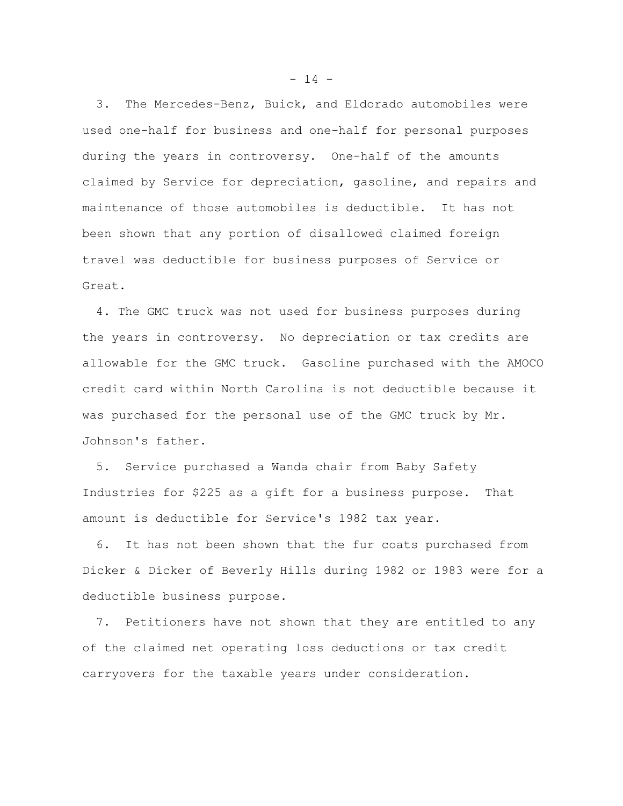3. The Mercedes-Benz, Buick, and Eldorado automobiles were used one-half for business and one-half for personal purposes during the years in controversy. One-half of the amounts claimed by Service for depreciation, gasoline, and repairs and maintenance of those automobiles is deductible. It has not been shown that any portion of disallowed claimed foreign travel was deductible for business purposes of Service or Great.

4. The GMC truck was not used for business purposes during the years in controversy. No depreciation or tax credits are allowable for the GMC truck. Gasoline purchased with the AMOCO credit card within North Carolina is not deductible because it was purchased for the personal use of the GMC truck by Mr. Johnson's father.

5. Service purchased a Wanda chair from Baby Safety Industries for \$225 as a gift for a business purpose. That amount is deductible for Service's 1982 tax year.

6. It has not been shown that the fur coats purchased from Dicker & Dicker of Beverly Hills during 1982 or 1983 were for a deductible business purpose.

7. Petitioners have not shown that they are entitled to any of the claimed net operating loss deductions or tax credit carryovers for the taxable years under consideration.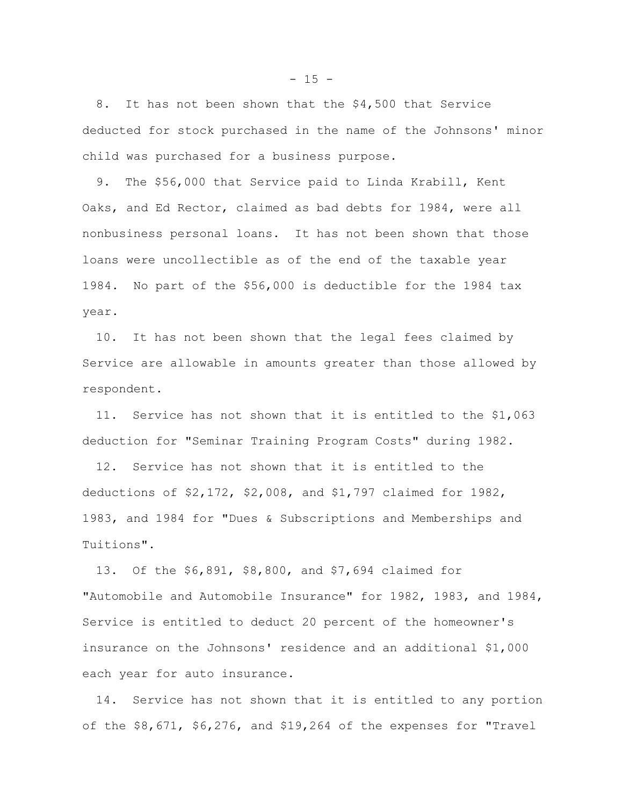8. It has not been shown that the \$4,500 that Service deducted for stock purchased in the name of the Johnsons' minor child was purchased for a business purpose.

9. The \$56,000 that Service paid to Linda Krabill, Kent Oaks, and Ed Rector, claimed as bad debts for 1984, were all nonbusiness personal loans. It has not been shown that those loans were uncollectible as of the end of the taxable year 1984. No part of the \$56,000 is deductible for the 1984 tax year.

10. It has not been shown that the legal fees claimed by Service are allowable in amounts greater than those allowed by respondent.

11. Service has not shown that it is entitled to the \$1,063 deduction for "Seminar Training Program Costs" during 1982.

12. Service has not shown that it is entitled to the deductions of \$2,172, \$2,008, and \$1,797 claimed for 1982, 1983, and 1984 for "Dues & Subscriptions and Memberships and Tuitions".

13. Of the \$6,891, \$8,800, and \$7,694 claimed for "Automobile and Automobile Insurance" for 1982, 1983, and 1984, Service is entitled to deduct 20 percent of the homeowner's insurance on the Johnsons' residence and an additional \$1,000 each year for auto insurance.

14. Service has not shown that it is entitled to any portion of the \$8,671, \$6,276, and \$19,264 of the expenses for "Travel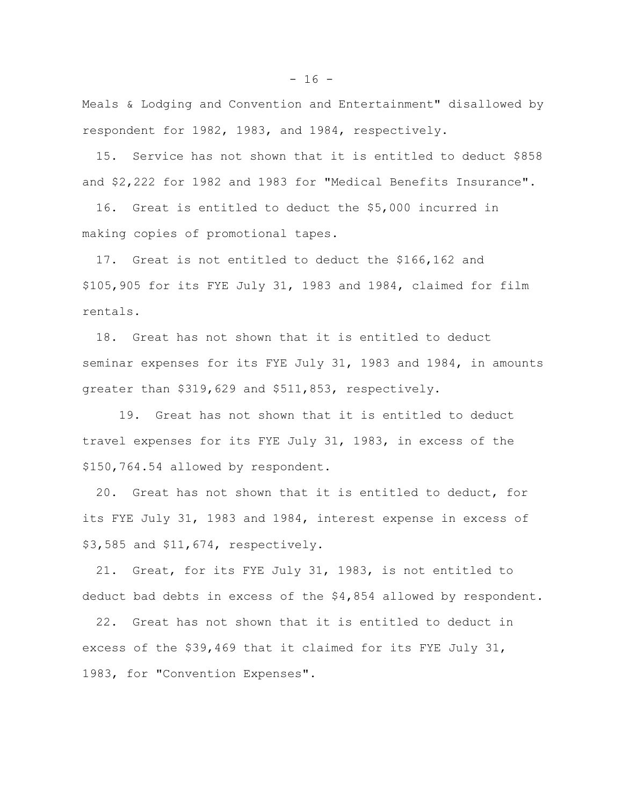Meals & Lodging and Convention and Entertainment" disallowed by respondent for 1982, 1983, and 1984, respectively.

15. Service has not shown that it is entitled to deduct \$858 and \$2,222 for 1982 and 1983 for "Medical Benefits Insurance".

16. Great is entitled to deduct the \$5,000 incurred in making copies of promotional tapes.

17. Great is not entitled to deduct the \$166,162 and \$105,905 for its FYE July 31, 1983 and 1984, claimed for film rentals.

18. Great has not shown that it is entitled to deduct seminar expenses for its FYE July 31, 1983 and 1984, in amounts greater than \$319,629 and \$511,853, respectively.

19. Great has not shown that it is entitled to deduct travel expenses for its FYE July 31, 1983, in excess of the \$150,764.54 allowed by respondent.

20. Great has not shown that it is entitled to deduct, for its FYE July 31, 1983 and 1984, interest expense in excess of \$3,585 and \$11,674, respectively.

21. Great, for its FYE July 31, 1983, is not entitled to deduct bad debts in excess of the \$4,854 allowed by respondent.

22. Great has not shown that it is entitled to deduct in excess of the \$39,469 that it claimed for its FYE July 31, 1983, for "Convention Expenses".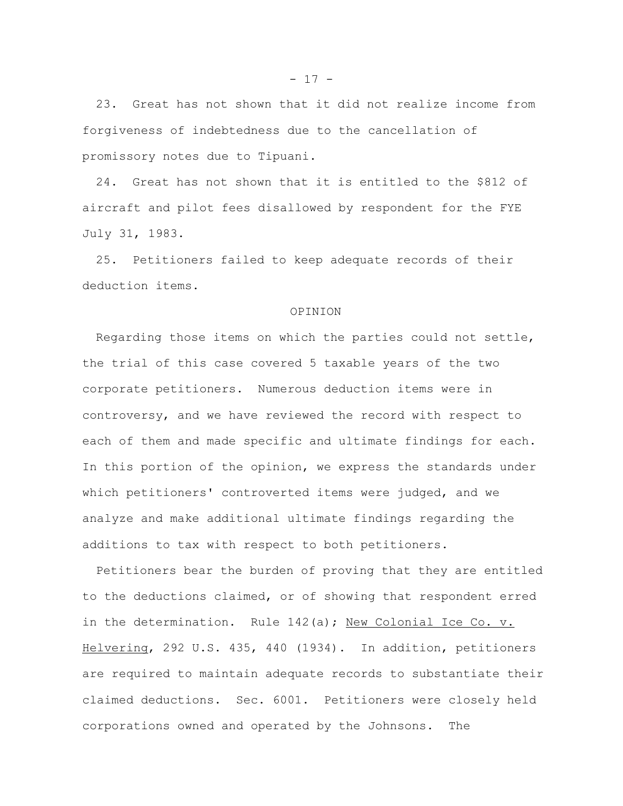23. Great has not shown that it did not realize income from forgiveness of indebtedness due to the cancellation of promissory notes due to Tipuani.

24. Great has not shown that it is entitled to the \$812 of aircraft and pilot fees disallowed by respondent for the FYE July 31, 1983.

25. Petitioners failed to keep adequate records of their deduction items.

#### OPINION

Regarding those items on which the parties could not settle, the trial of this case covered 5 taxable years of the two corporate petitioners. Numerous deduction items were in controversy, and we have reviewed the record with respect to each of them and made specific and ultimate findings for each. In this portion of the opinion, we express the standards under which petitioners' controverted items were judged, and we analyze and make additional ultimate findings regarding the additions to tax with respect to both petitioners.

Petitioners bear the burden of proving that they are entitled to the deductions claimed, or of showing that respondent erred in the determination. Rule 142(a); New Colonial Ice Co. v. Helvering, 292 U.S. 435, 440 (1934). In addition, petitioners are required to maintain adequate records to substantiate their claimed deductions. Sec. 6001. Petitioners were closely held corporations owned and operated by the Johnsons. The

 $- 17 -$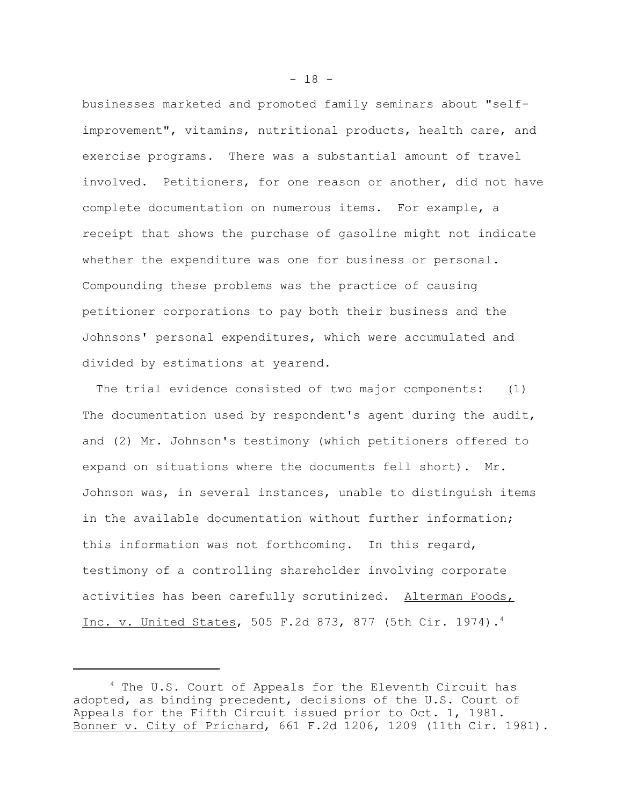businesses marketed and promoted family seminars about "selfimprovement", vitamins, nutritional products, health care, and exercise programs. There was a substantial amount of travel involved. Petitioners, for one reason or another, did not have complete documentation on numerous items. For example, a receipt that shows the purchase of gasoline might not indicate whether the expenditure was one for business or personal. Compounding these problems was the practice of causing petitioner corporations to pay both their business and the Johnsons' personal expenditures, which were accumulated and divided by estimations at yearend.

The trial evidence consisted of two major components: (1) The documentation used by respondent's agent during the audit, and (2) Mr. Johnson's testimony (which petitioners offered to expand on situations where the documents fell short). Mr. Johnson was, in several instances, unable to distinguish items in the available documentation without further information; this information was not forthcoming. In this regard, testimony of a controlling shareholder involving corporate activities has been carefully scrutinized. Alterman Foods, Inc. v. United States, 505 F.2d 873, 877 (5th Cir. 1974).4

 $- 18 -$ 

<sup>&</sup>lt;sup>4</sup> The U.S. Court of Appeals for the Eleventh Circuit has adopted, as binding precedent, decisions of the U.S. Court of Appeals for the Fifth Circuit issued prior to Oct. 1, 1981. Bonner v. City of Prichard, 661 F.2d 1206, 1209 (11th Cir. 1981).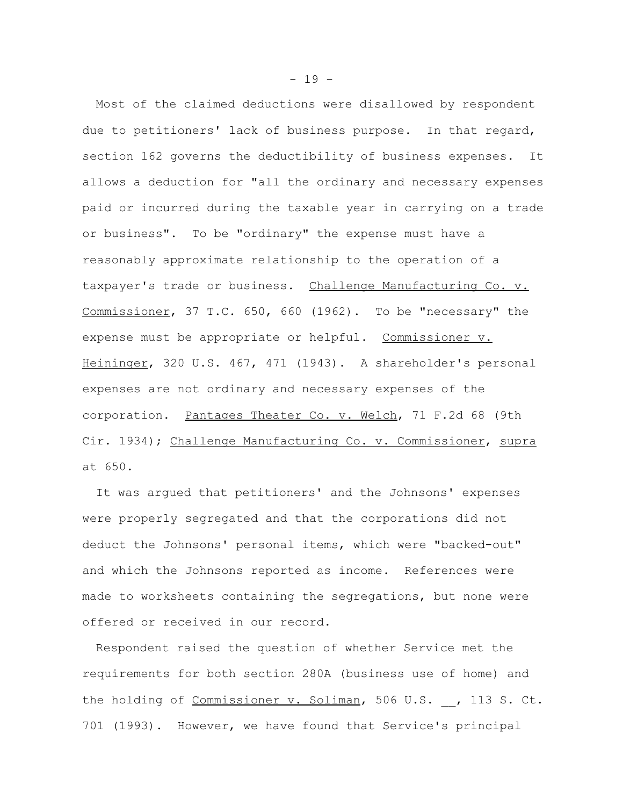Most of the claimed deductions were disallowed by respondent due to petitioners' lack of business purpose. In that regard, section 162 governs the deductibility of business expenses. It allows a deduction for "all the ordinary and necessary expenses paid or incurred during the taxable year in carrying on a trade or business". To be "ordinary" the expense must have a reasonably approximate relationship to the operation of a taxpayer's trade or business. Challenge Manufacturing Co. v. Commissioner, 37 T.C. 650, 660 (1962). To be "necessary" the expense must be appropriate or helpful. Commissioner v. Heininger, 320 U.S. 467, 471 (1943). A shareholder's personal expenses are not ordinary and necessary expenses of the corporation. Pantages Theater Co. v. Welch, 71 F.2d 68 (9th Cir. 1934); Challenge Manufacturing Co. v. Commissioner, supra at 650.

It was argued that petitioners' and the Johnsons' expenses were properly segregated and that the corporations did not deduct the Johnsons' personal items, which were "backed-out" and which the Johnsons reported as income. References were made to worksheets containing the segregations, but none were offered or received in our record.

Respondent raised the question of whether Service met the requirements for both section 280A (business use of home) and the holding of Commissioner v. Soliman, 506 U.S. , 113 S. Ct. 701 (1993). However, we have found that Service's principal

 $- 19 -$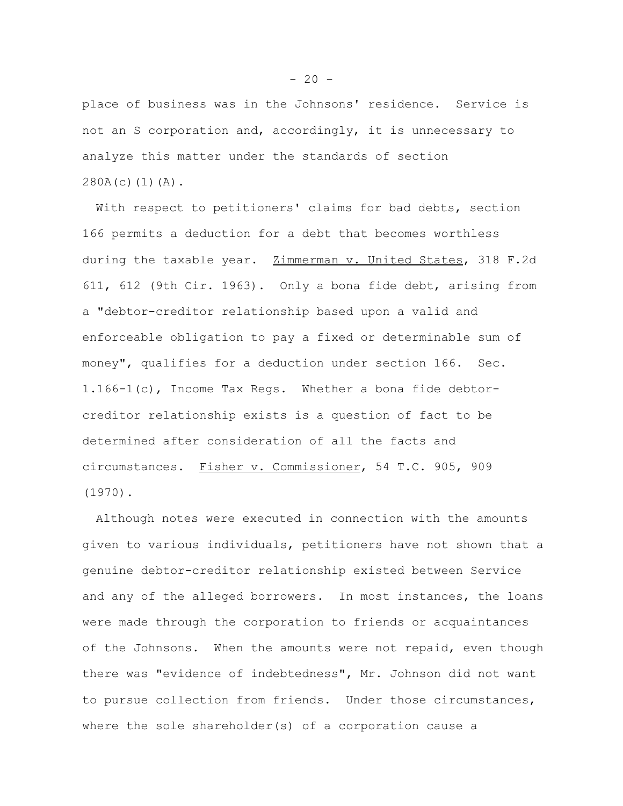place of business was in the Johnsons' residence. Service is not an S corporation and, accordingly, it is unnecessary to analyze this matter under the standards of section  $280A(c)(1)(A)$ .

With respect to petitioners' claims for bad debts, section 166 permits a deduction for a debt that becomes worthless during the taxable year. Zimmerman v. United States, 318 F.2d 611, 612 (9th Cir. 1963). Only a bona fide debt, arising from a "debtor-creditor relationship based upon a valid and enforceable obligation to pay a fixed or determinable sum of money", qualifies for a deduction under section 166. Sec. 1.166-1(c), Income Tax Regs. Whether a bona fide debtorcreditor relationship exists is a question of fact to be determined after consideration of all the facts and circumstances. Fisher v. Commissioner, 54 T.C. 905, 909 (1970).

Although notes were executed in connection with the amounts given to various individuals, petitioners have not shown that a genuine debtor-creditor relationship existed between Service and any of the alleged borrowers. In most instances, the loans were made through the corporation to friends or acquaintances of the Johnsons. When the amounts were not repaid, even though there was "evidence of indebtedness", Mr. Johnson did not want to pursue collection from friends. Under those circumstances, where the sole shareholder(s) of a corporation cause a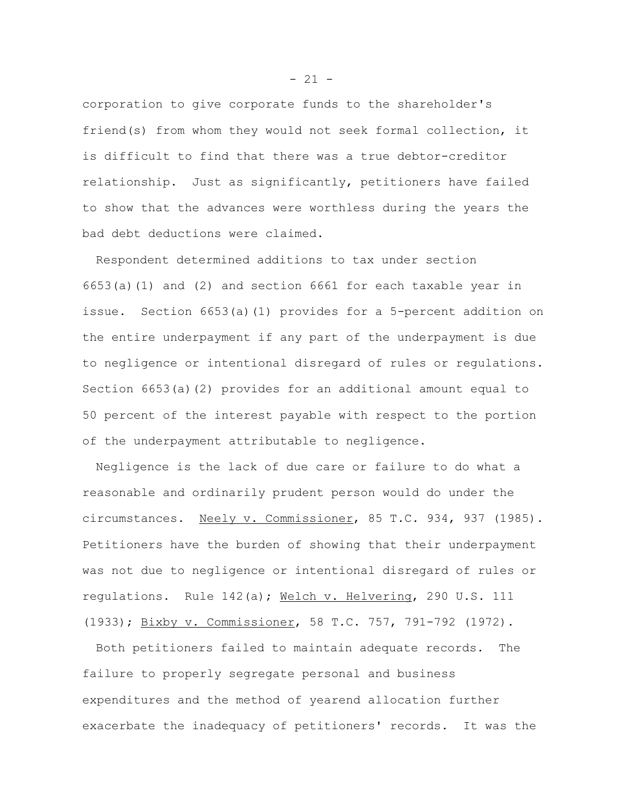corporation to give corporate funds to the shareholder's friend(s) from whom they would not seek formal collection, it is difficult to find that there was a true debtor-creditor relationship. Just as significantly, petitioners have failed to show that the advances were worthless during the years the bad debt deductions were claimed.

Respondent determined additions to tax under section 6653(a)(1) and (2) and section 6661 for each taxable year in issue. Section 6653(a)(1) provides for a 5-percent addition on the entire underpayment if any part of the underpayment is due to negligence or intentional disregard of rules or regulations. Section 6653(a)(2) provides for an additional amount equal to 50 percent of the interest payable with respect to the portion of the underpayment attributable to negligence.

Negligence is the lack of due care or failure to do what a reasonable and ordinarily prudent person would do under the circumstances. Neely v. Commissioner, 85 T.C. 934, 937 (1985). Petitioners have the burden of showing that their underpayment was not due to negligence or intentional disregard of rules or regulations. Rule 142(a); Welch v. Helvering, 290 U.S. 111 (1933); Bixby v. Commissioner, 58 T.C. 757, 791-792 (1972).

Both petitioners failed to maintain adequate records. The failure to properly segregate personal and business expenditures and the method of yearend allocation further exacerbate the inadequacy of petitioners' records. It was the

 $- 21 -$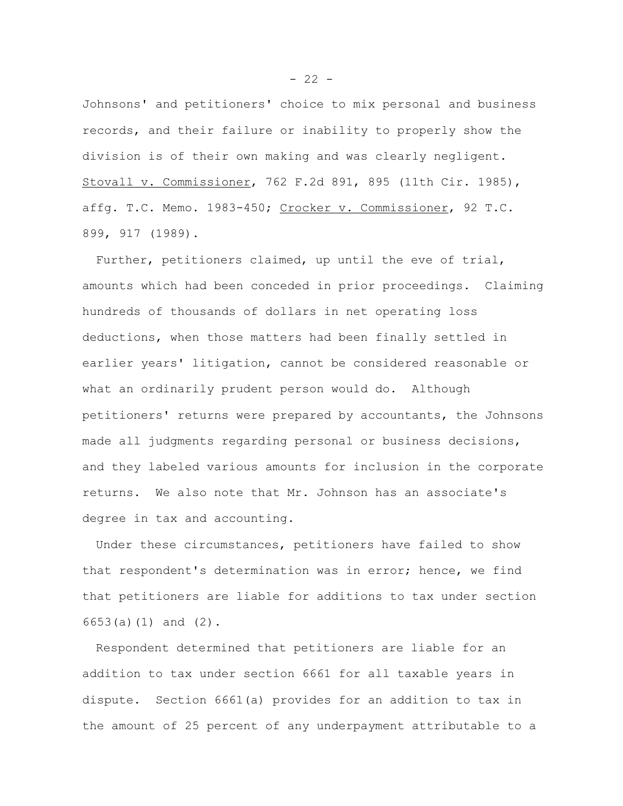Johnsons' and petitioners' choice to mix personal and business records, and their failure or inability to properly show the division is of their own making and was clearly negligent. Stovall v. Commissioner, 762 F.2d 891, 895 (11th Cir. 1985), affg. T.C. Memo. 1983-450; Crocker v. Commissioner, 92 T.C. 899, 917 (1989).

Further, petitioners claimed, up until the eve of trial, amounts which had been conceded in prior proceedings. Claiming hundreds of thousands of dollars in net operating loss deductions, when those matters had been finally settled in earlier years' litigation, cannot be considered reasonable or what an ordinarily prudent person would do. Although petitioners' returns were prepared by accountants, the Johnsons made all judgments regarding personal or business decisions, and they labeled various amounts for inclusion in the corporate returns. We also note that Mr. Johnson has an associate's degree in tax and accounting.

Under these circumstances, petitioners have failed to show that respondent's determination was in error; hence, we find that petitioners are liable for additions to tax under section 6653(a)(1) and (2).

Respondent determined that petitioners are liable for an addition to tax under section 6661 for all taxable years in dispute. Section 6661(a) provides for an addition to tax in the amount of 25 percent of any underpayment attributable to a

 $- 22 -$